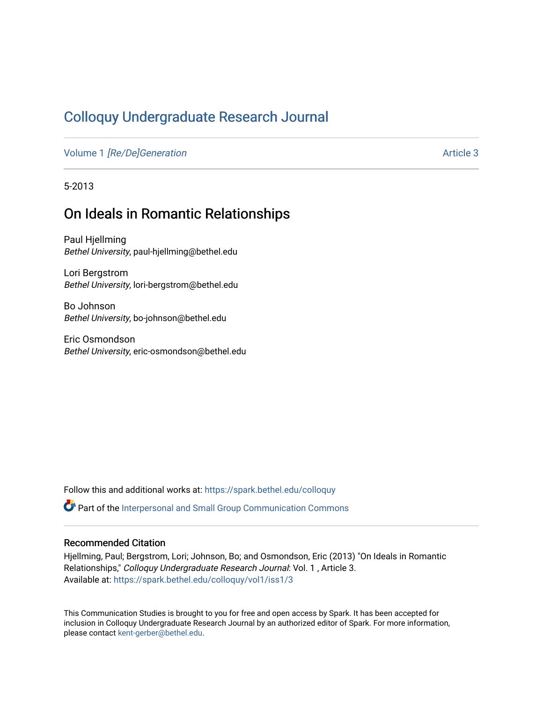# [Colloquy Undergraduate Research Journal](https://spark.bethel.edu/colloquy)

Volume 1 [\[Re/De\]Generation](https://spark.bethel.edu/colloquy/vol1) Article 3

5-2013

# On Ideals in Romantic Relationships

Paul Hjellming Bethel University, paul-hjellming@bethel.edu

Lori Bergstrom Bethel University, lori-bergstrom@bethel.edu

Bo Johnson Bethel University, bo-johnson@bethel.edu

Eric Osmondson Bethel University, eric-osmondson@bethel.edu

Follow this and additional works at: [https://spark.bethel.edu/colloquy](https://spark.bethel.edu/colloquy?utm_source=spark.bethel.edu%2Fcolloquy%2Fvol1%2Fiss1%2F3&utm_medium=PDF&utm_campaign=PDFCoverPages) 

Part of the [Interpersonal and Small Group Communication Commons](http://network.bepress.com/hgg/discipline/332?utm_source=spark.bethel.edu%2Fcolloquy%2Fvol1%2Fiss1%2F3&utm_medium=PDF&utm_campaign=PDFCoverPages) 

#### Recommended Citation

Hjellming, Paul; Bergstrom, Lori; Johnson, Bo; and Osmondson, Eric (2013) "On Ideals in Romantic Relationships," Colloquy Undergraduate Research Journal: Vol. 1 , Article 3. Available at: [https://spark.bethel.edu/colloquy/vol1/iss1/3](https://spark.bethel.edu/colloquy/vol1/iss1/3?utm_source=spark.bethel.edu%2Fcolloquy%2Fvol1%2Fiss1%2F3&utm_medium=PDF&utm_campaign=PDFCoverPages) 

This Communication Studies is brought to you for free and open access by Spark. It has been accepted for inclusion in Colloquy Undergraduate Research Journal by an authorized editor of Spark. For more information, please contact [kent-gerber@bethel.edu](mailto:kent-gerber@bethel.edu).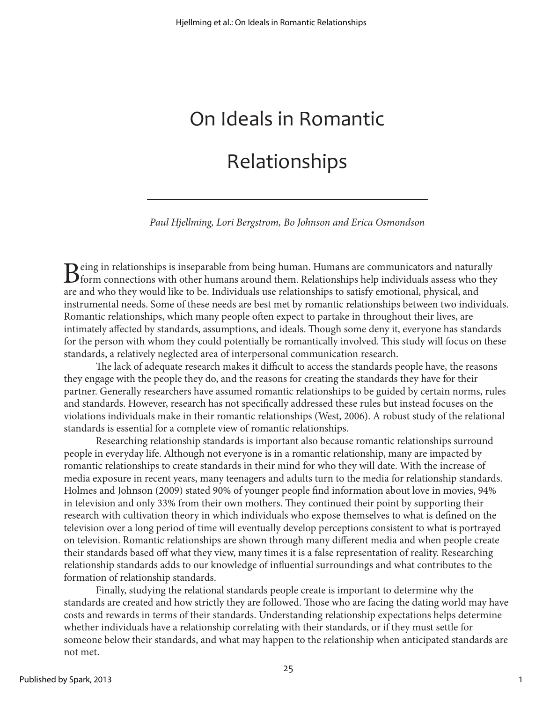# On Ideals in Romantic Relationships

*Paul Hjellming, Lori Bergstrom, Bo Johnson and Erica Osmondson*

 $B$ eing in relationships is inseparable from being human. Humans are communicators and naturally form connections with other humans around them. Relationships help individuals assess who they are and the them. In this the are and who they would like to be. Individuals use relationships to satisfy emotional, physical, and instrumental needs. Some of these needs are best met by romantic relationships between two individuals. Romantic relationships, which many people often expect to partake in throughout their lives, are intimately affected by standards, assumptions, and ideals. Though some deny it, everyone has standards for the person with whom they could potentially be romantically involved. This study will focus on these standards, a relatively neglected area of interpersonal communication research.

The lack of adequate research makes it difficult to access the standards people have, the reasons they engage with the people they do, and the reasons for creating the standards they have for their partner. Generally researchers have assumed romantic relationships to be guided by certain norms, rules and standards. However, research has not specifically addressed these rules but instead focuses on the violations individuals make in their romantic relationships (West, 2006). A robust study of the relational standards is essential for a complete view of romantic relationships.

Researching relationship standards is important also because romantic relationships surround people in everyday life. Although not everyone is in a romantic relationship, many are impacted by romantic relationships to create standards in their mind for who they will date. With the increase of media exposure in recent years, many teenagers and adults turn to the media for relationship standards. Holmes and Johnson (2009) stated 90% of younger people find information about love in movies, 94% in television and only 33% from their own mothers. They continued their point by supporting their research with cultivation theory in which individuals who expose themselves to what is defined on the television over a long period of time will eventually develop perceptions consistent to what is portrayed on television. Romantic relationships are shown through many different media and when people create their standards based off what they view, many times it is a false representation of reality. Researching relationship standards adds to our knowledge of influential surroundings and what contributes to the formation of relationship standards.

Finally, studying the relational standards people create is important to determine why the standards are created and how strictly they are followed. Those who are facing the dating world may have costs and rewards in terms of their standards. Understanding relationship expectations helps determine whether individuals have a relationship correlating with their standards, or if they must settle for someone below their standards, and what may happen to the relationship when anticipated standards are not met.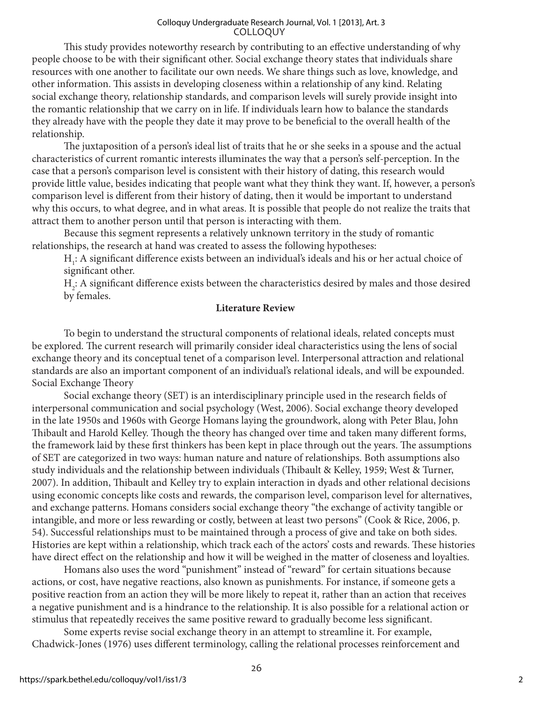This study provides noteworthy research by contributing to an effective understanding of why people choose to be with their significant other. Social exchange theory states that individuals share resources with one another to facilitate our own needs. We share things such as love, knowledge, and other information. This assists in developing closeness within a relationship of any kind. Relating social exchange theory, relationship standards, and comparison levels will surely provide insight into the romantic relationship that we carry on in life. If individuals learn how to balance the standards they already have with the people they date it may prove to be beneficial to the overall health of the relationship.

The juxtaposition of a person's ideal list of traits that he or she seeks in a spouse and the actual characteristics of current romantic interests illuminates the way that a person's self-perception. In the case that a person's comparison level is consistent with their history of dating, this research would provide little value, besides indicating that people want what they think they want. If, however, a person's comparison level is different from their history of dating, then it would be important to understand why this occurs, to what degree, and in what areas. It is possible that people do not realize the traits that attract them to another person until that person is interacting with them.

Because this segment represents a relatively unknown territory in the study of romantic relationships, the research at hand was created to assess the following hypotheses:

 $H_1$ : A significant difference exists between an individual's ideals and his or her actual choice of significant other.

H2 : A significant difference exists between the characteristics desired by males and those desired by females.

#### **Literature Review**

To begin to understand the structural components of relational ideals, related concepts must be explored. The current research will primarily consider ideal characteristics using the lens of social exchange theory and its conceptual tenet of a comparison level. Interpersonal attraction and relational standards are also an important component of an individual's relational ideals, and will be expounded. Social Exchange Theory

Social exchange theory (SET) is an interdisciplinary principle used in the research fields of interpersonal communication and social psychology (West, 2006). Social exchange theory developed in the late 1950s and 1960s with George Homans laying the groundwork, along with Peter Blau, John Thibault and Harold Kelley. Though the theory has changed over time and taken many different forms, the framework laid by these first thinkers has been kept in place through out the years. The assumptions of SET are categorized in two ways: human nature and nature of relationships. Both assumptions also study individuals and the relationship between individuals (Thibault & Kelley, 1959; West & Turner, 2007). In addition, Thibault and Kelley try to explain interaction in dyads and other relational decisions using economic concepts like costs and rewards, the comparison level, comparison level for alternatives, and exchange patterns. Homans considers social exchange theory "the exchange of activity tangible or intangible, and more or less rewarding or costly, between at least two persons" (Cook & Rice, 2006, p. 54). Successful relationships must to be maintained through a process of give and take on both sides. Histories are kept within a relationship, which track each of the actors' costs and rewards. These histories have direct effect on the relationship and how it will be weighed in the matter of closeness and loyalties.

Homans also uses the word "punishment" instead of "reward" for certain situations because actions, or cost, have negative reactions, also known as punishments. For instance, if someone gets a positive reaction from an action they will be more likely to repeat it, rather than an action that receives a negative punishment and is a hindrance to the relationship. It is also possible for a relational action or stimulus that repeatedly receives the same positive reward to gradually become less significant.

Some experts revise social exchange theory in an attempt to streamline it. For example, Chadwick-Jones (1976) uses different terminology, calling the relational processes reinforcement and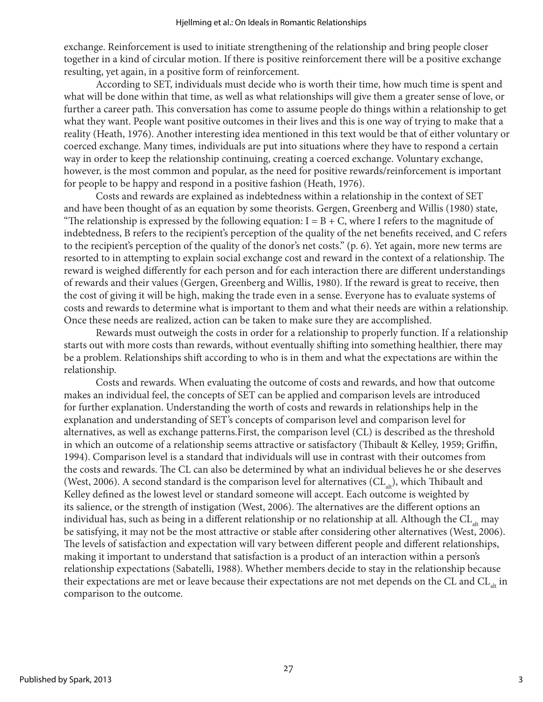exchange. Reinforcement is used to initiate strengthening of the relationship and bring people closer together in a kind of circular motion. If there is positive reinforcement there will be a positive exchange resulting, yet again, in a positive form of reinforcement.

According to SET, individuals must decide who is worth their time, how much time is spent and what will be done within that time, as well as what relationships will give them a greater sense of love, or further a career path. This conversation has come to assume people do things within a relationship to get what they want. People want positive outcomes in their lives and this is one way of trying to make that a reality (Heath, 1976). Another interesting idea mentioned in this text would be that of either voluntary or coerced exchange. Many times, individuals are put into situations where they have to respond a certain way in order to keep the relationship continuing, creating a coerced exchange. Voluntary exchange, however, is the most common and popular, as the need for positive rewards/reinforcement is important for people to be happy and respond in a positive fashion (Heath, 1976).

Costs and rewards are explained as indebtedness within a relationship in the context of SET and have been thought of as an equation by some theorists. Gergen, Greenberg and Willis (1980) state, "The relationship is expressed by the following equation:  $I = B + C$ , where I refers to the magnitude of indebtedness, B refers to the recipient's perception of the quality of the net benefits received, and C refers to the recipient's perception of the quality of the donor's net costs." (p. 6). Yet again, more new terms are resorted to in attempting to explain social exchange cost and reward in the context of a relationship. The reward is weighed differently for each person and for each interaction there are different understandings of rewards and their values (Gergen, Greenberg and Willis, 1980). If the reward is great to receive, then the cost of giving it will be high, making the trade even in a sense. Everyone has to evaluate systems of costs and rewards to determine what is important to them and what their needs are within a relationship. Once these needs are realized, action can be taken to make sure they are accomplished.

Rewards must outweigh the costs in order for a relationship to properly function. If a relationship starts out with more costs than rewards, without eventually shifting into something healthier, there may be a problem. Relationships shift according to who is in them and what the expectations are within the relationship.

Costs and rewards. When evaluating the outcome of costs and rewards, and how that outcome makes an individual feel, the concepts of SET can be applied and comparison levels are introduced for further explanation. Understanding the worth of costs and rewards in relationships help in the explanation and understanding of SET's concepts of comparison level and comparison level for alternatives, as well as exchange patterns.First, the comparison level (CL) is described as the threshold in which an outcome of a relationship seems attractive or satisfactory (Thibault & Kelley, 1959; Griffin, 1994). Comparison level is a standard that individuals will use in contrast with their outcomes from the costs and rewards. The CL can also be determined by what an individual believes he or she deserves (West, 2006). A second standard is the comparison level for alternatives  $CL_{ab}$ , which Thibault and Kelley defined as the lowest level or standard someone will accept. Each outcome is weighted by its salience, or the strength of instigation (West, 2006). The alternatives are the different options an individual has, such as being in a different relationship or no relationship at all. Although the  $CL_{at}$  may be satisfying, it may not be the most attractive or stable after considering other alternatives (West, 2006). The levels of satisfaction and expectation will vary between different people and different relationships, making it important to understand that satisfaction is a product of an interaction within a person's relationship expectations (Sabatelli, 1988). Whether members decide to stay in the relationship because their expectations are met or leave because their expectations are not met depends on the CL and CL<sub>alt</sub> in comparison to the outcome.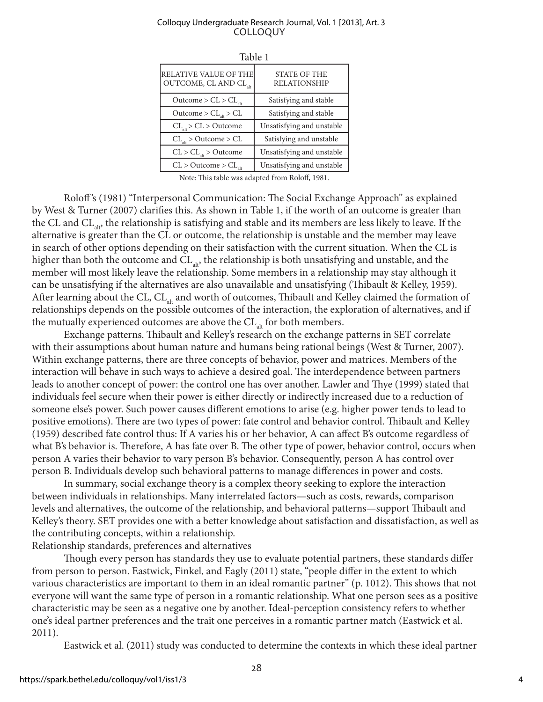| RELATIVE VALUE OF THE<br>OUTCOME, CL AND CL <sub>alt</sub> | <b>STATE OF THE</b><br><b>RELATIONSHIP</b> |  |  |  |
|------------------------------------------------------------|--------------------------------------------|--|--|--|
| Outcome > $CL$ > $CL$                                      | Satisfying and stable                      |  |  |  |
| $Outcome > CL$ <sub>alt</sub> > CL                         | Satisfying and stable                      |  |  |  |
| CL <sub>alt</sub> > CL > Outcome                           | Unsatisfying and unstable                  |  |  |  |
| CL <sub>alt</sub> > Outcome > CL                           | Satisfying and unstable                    |  |  |  |
| $CL > CL$ <sub>alt</sub> > Outcome                         | Unsatisfying and unstable                  |  |  |  |
| $CL > Outcome > CL$ <sub>alt</sub>                         | Unsatisfying and unstable                  |  |  |  |

Table 1

Note: This table was adapted from Roloff, 1981.

Roloff 's (1981) "Interpersonal Communication: The Social Exchange Approach" as explained by West & Turner (2007) clarifies this. As shown in Table 1, if the worth of an outcome is greater than the CL and  $CL_{ab}$ , the relationship is satisfying and stable and its members are less likely to leave. If the alternative is greater than the CL or outcome, the relationship is unstable and the member may leave in search of other options depending on their satisfaction with the current situation. When the CL is higher than both the outcome and  $CL_{ab}$ , the relationship is both unsatisfying and unstable, and the member will most likely leave the relationship. Some members in a relationship may stay although it can be unsatisfying if the alternatives are also unavailable and unsatisfying (Thibault & Kelley, 1959). After learning about the CL, CL<sub>alt</sub> and worth of outcomes, Thibault and Kelley claimed the formation of relationships depends on the possible outcomes of the interaction, the exploration of alternatives, and if the mutually experienced outcomes are above the  $CL$ <sub>at</sub> for both members.

Exchange patterns. Thibault and Kelley's research on the exchange patterns in SET correlate with their assumptions about human nature and humans being rational beings (West & Turner, 2007). Within exchange patterns, there are three concepts of behavior, power and matrices. Members of the interaction will behave in such ways to achieve a desired goal. The interdependence between partners leads to another concept of power: the control one has over another. Lawler and Thye (1999) stated that individuals feel secure when their power is either directly or indirectly increased due to a reduction of someone else's power. Such power causes different emotions to arise (e.g. higher power tends to lead to positive emotions). There are two types of power: fate control and behavior control. Thibault and Kelley (1959) described fate control thus: If A varies his or her behavior, A can affect B's outcome regardless of what B's behavior is. Therefore, A has fate over B. The other type of power, behavior control, occurs when person A varies their behavior to vary person B's behavior. Consequently, person A has control over person B. Individuals develop such behavioral patterns to manage differences in power and costs.

In summary, social exchange theory is a complex theory seeking to explore the interaction between individuals in relationships. Many interrelated factors—such as costs, rewards, comparison levels and alternatives, the outcome of the relationship, and behavioral patterns—support Thibault and Kelley's theory. SET provides one with a better knowledge about satisfaction and dissatisfaction, as well as the contributing concepts, within a relationship.

Relationship standards, preferences and alternatives

Though every person has standards they use to evaluate potential partners, these standards differ from person to person. Eastwick, Finkel, and Eagly (2011) state, "people differ in the extent to which various characteristics are important to them in an ideal romantic partner" (p. 1012). This shows that not everyone will want the same type of person in a romantic relationship. What one person sees as a positive characteristic may be seen as a negative one by another. Ideal-perception consistency refers to whether one's ideal partner preferences and the trait one perceives in a romantic partner match (Eastwick et al. 2011).

Eastwick et al. (2011) study was conducted to determine the contexts in which these ideal partner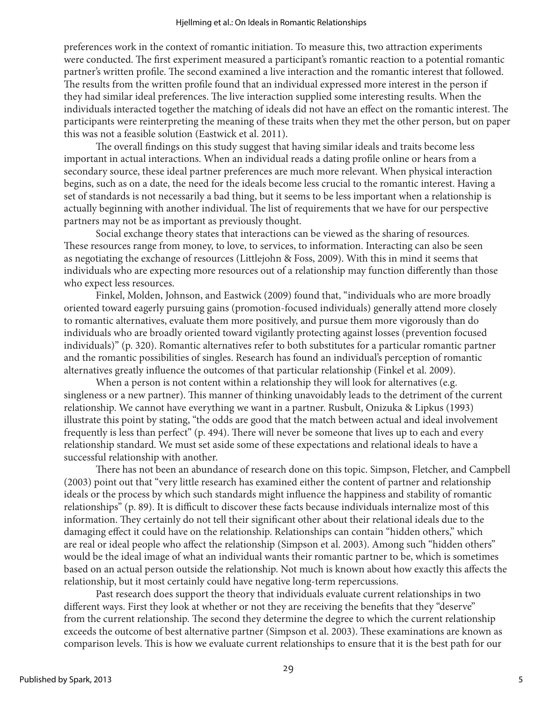preferences work in the context of romantic initiation. To measure this, two attraction experiments were conducted. The first experiment measured a participant's romantic reaction to a potential romantic partner's written profile. The second examined a live interaction and the romantic interest that followed. The results from the written profile found that an individual expressed more interest in the person if they had similar ideal preferences. The live interaction supplied some interesting results. When the individuals interacted together the matching of ideals did not have an effect on the romantic interest. The participants were reinterpreting the meaning of these traits when they met the other person, but on paper this was not a feasible solution (Eastwick et al. 2011).

The overall findings on this study suggest that having similar ideals and traits become less important in actual interactions. When an individual reads a dating profile online or hears from a secondary source, these ideal partner preferences are much more relevant. When physical interaction begins, such as on a date, the need for the ideals become less crucial to the romantic interest. Having a set of standards is not necessarily a bad thing, but it seems to be less important when a relationship is actually beginning with another individual. The list of requirements that we have for our perspective partners may not be as important as previously thought.

Social exchange theory states that interactions can be viewed as the sharing of resources. These resources range from money, to love, to services, to information. Interacting can also be seen as negotiating the exchange of resources (Littlejohn & Foss, 2009). With this in mind it seems that individuals who are expecting more resources out of a relationship may function differently than those who expect less resources.

Finkel, Molden, Johnson, and Eastwick (2009) found that, "individuals who are more broadly oriented toward eagerly pursuing gains (promotion-focused individuals) generally attend more closely to romantic alternatives, evaluate them more positively, and pursue them more vigorously than do individuals who are broadly oriented toward vigilantly protecting against losses (prevention focused individuals)" (p. 320). Romantic alternatives refer to both substitutes for a particular romantic partner and the romantic possibilities of singles. Research has found an individual's perception of romantic alternatives greatly influence the outcomes of that particular relationship (Finkel et al. 2009).

When a person is not content within a relationship they will look for alternatives (e.g. singleness or a new partner). This manner of thinking unavoidably leads to the detriment of the current relationship. We cannot have everything we want in a partner. Rusbult, Onizuka & Lipkus (1993) illustrate this point by stating, "the odds are good that the match between actual and ideal involvement frequently is less than perfect" (p. 494). There will never be someone that lives up to each and every relationship standard. We must set aside some of these expectations and relational ideals to have a successful relationship with another.

There has not been an abundance of research done on this topic. Simpson, Fletcher, and Campbell (2003) point out that "very little research has examined either the content of partner and relationship ideals or the process by which such standards might influence the happiness and stability of romantic relationships" (p. 89). It is difficult to discover these facts because individuals internalize most of this information. They certainly do not tell their significant other about their relational ideals due to the damaging effect it could have on the relationship. Relationships can contain "hidden others," which are real or ideal people who affect the relationship (Simpson et al. 2003). Among such "hidden others" would be the ideal image of what an individual wants their romantic partner to be, which is sometimes based on an actual person outside the relationship. Not much is known about how exactly this affects the relationship, but it most certainly could have negative long-term repercussions.

Past research does support the theory that individuals evaluate current relationships in two different ways. First they look at whether or not they are receiving the benefits that they "deserve" from the current relationship. The second they determine the degree to which the current relationship exceeds the outcome of best alternative partner (Simpson et al. 2003). These examinations are known as comparison levels. This is how we evaluate current relationships to ensure that it is the best path for our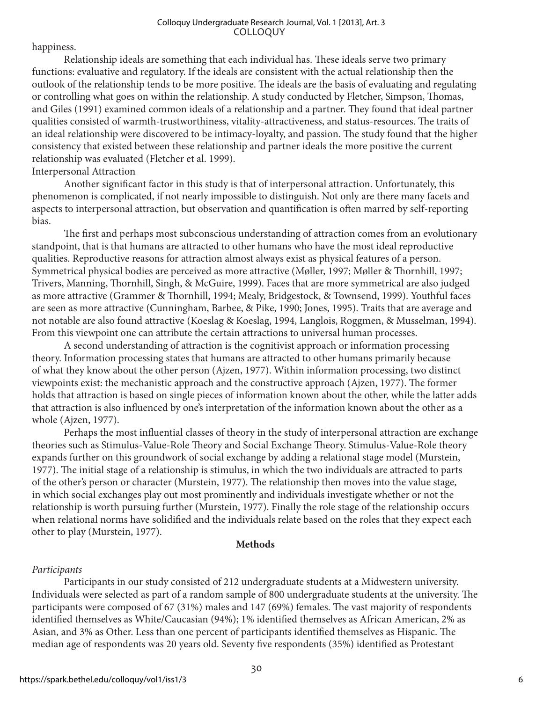happiness.

Relationship ideals are something that each individual has. These ideals serve two primary functions: evaluative and regulatory. If the ideals are consistent with the actual relationship then the outlook of the relationship tends to be more positive. The ideals are the basis of evaluating and regulating or controlling what goes on within the relationship. A study conducted by Fletcher, Simpson, Thomas, and Giles (1991) examined common ideals of a relationship and a partner. They found that ideal partner qualities consisted of warmth-trustworthiness, vitality-attractiveness, and status-resources. The traits of an ideal relationship were discovered to be intimacy-loyalty, and passion. The study found that the higher consistency that existed between these relationship and partner ideals the more positive the current relationship was evaluated (Fletcher et al. 1999).

#### Interpersonal Attraction

Another significant factor in this study is that of interpersonal attraction. Unfortunately, this phenomenon is complicated, if not nearly impossible to distinguish. Not only are there many facets and aspects to interpersonal attraction, but observation and quantification is often marred by self-reporting bias.

The first and perhaps most subconscious understanding of attraction comes from an evolutionary standpoint, that is that humans are attracted to other humans who have the most ideal reproductive qualities. Reproductive reasons for attraction almost always exist as physical features of a person. Symmetrical physical bodies are perceived as more attractive (Møller, 1997; Møller & Thornhill, 1997; Trivers, Manning, Thornhill, Singh, & McGuire, 1999). Faces that are more symmetrical are also judged as more attractive (Grammer & Thornhill, 1994; Mealy, Bridgestock, & Townsend, 1999). Youthful faces are seen as more attractive (Cunningham, Barbee, & Pike, 1990; Jones, 1995). Traits that are average and not notable are also found attractive (Koeslag & Koeslag, 1994, Langlois, Roggmen, & Musselman, 1994). From this viewpoint one can attribute the certain attractions to universal human processes.

A second understanding of attraction is the cognitivist approach or information processing theory. Information processing states that humans are attracted to other humans primarily because of what they know about the other person (Ajzen, 1977). Within information processing, two distinct viewpoints exist: the mechanistic approach and the constructive approach (Ajzen, 1977). The former holds that attraction is based on single pieces of information known about the other, while the latter adds that attraction is also influenced by one's interpretation of the information known about the other as a whole (Ajzen, 1977).

Perhaps the most influential classes of theory in the study of interpersonal attraction are exchange theories such as Stimulus-Value-Role Theory and Social Exchange Theory. Stimulus-Value-Role theory expands further on this groundwork of social exchange by adding a relational stage model (Murstein, 1977). The initial stage of a relationship is stimulus, in which the two individuals are attracted to parts of the other's person or character (Murstein, 1977). The relationship then moves into the value stage, in which social exchanges play out most prominently and individuals investigate whether or not the relationship is worth pursuing further (Murstein, 1977). Finally the role stage of the relationship occurs when relational norms have solidified and the individuals relate based on the roles that they expect each other to play (Murstein, 1977).

#### **Methods**

### *Participants*

Participants in our study consisted of 212 undergraduate students at a Midwestern university. Individuals were selected as part of a random sample of 800 undergraduate students at the university. The participants were composed of 67 (31%) males and 147 (69%) females. The vast majority of respondents identified themselves as White/Caucasian (94%); 1% identified themselves as African American, 2% as Asian, and 3% as Other. Less than one percent of participants identified themselves as Hispanic. The median age of respondents was 20 years old. Seventy five respondents (35%) identified as Protestant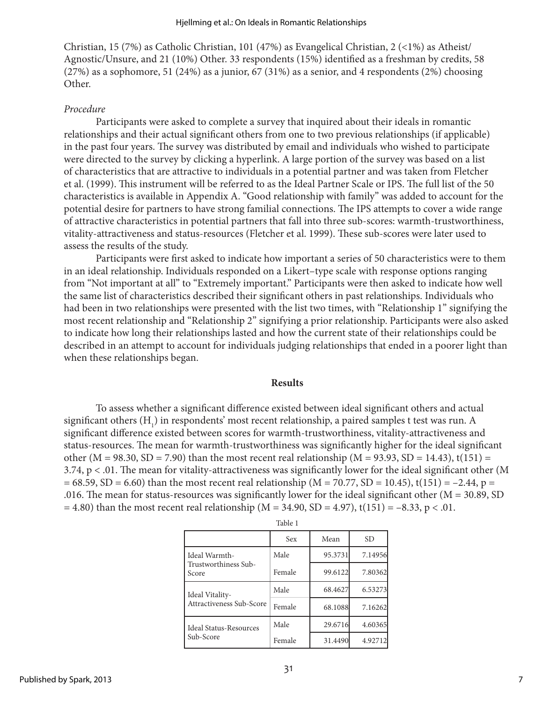Christian, 15 (7%) as Catholic Christian, 101 (47%) as Evangelical Christian, 2 (<1%) as Atheist/ Agnostic/Unsure, and 21 (10%) Other. 33 respondents (15%) identified as a freshman by credits, 58 (27%) as a sophomore, 51 (24%) as a junior, 67 (31%) as a senior, and 4 respondents (2%) choosing Other.

#### *Procedure*

Participants were asked to complete a survey that inquired about their ideals in romantic relationships and their actual significant others from one to two previous relationships (if applicable) in the past four years. The survey was distributed by email and individuals who wished to participate were directed to the survey by clicking a hyperlink. A large portion of the survey was based on a list of characteristics that are attractive to individuals in a potential partner and was taken from Fletcher et al. (1999). This instrument will be referred to as the Ideal Partner Scale or IPS. The full list of the 50 characteristics is available in Appendix A. "Good relationship with family" was added to account for the potential desire for partners to have strong familial connections. The IPS attempts to cover a wide range of attractive characteristics in potential partners that fall into three sub-scores: warmth-trustworthiness, vitality-attractiveness and status-resources (Fletcher et al. 1999). These sub-scores were later used to assess the results of the study.

Participants were first asked to indicate how important a series of 50 characteristics were to them in an ideal relationship. Individuals responded on a Likert–type scale with response options ranging from "Not important at all" to "Extremely important." Participants were then asked to indicate how well the same list of characteristics described their significant others in past relationships. Individuals who had been in two relationships were presented with the list two times, with "Relationship 1" signifying the most recent relationship and "Relationship 2" signifying a prior relationship. Participants were also asked to indicate how long their relationships lasted and how the current state of their relationships could be described in an attempt to account for individuals judging relationships that ended in a poorer light than when these relationships began.

#### **Results**

To assess whether a significant difference existed between ideal significant others and actual significant others  $(H_1)$  in respondents' most recent relationship, a paired samples t test was run. A significant difference existed between scores for warmth-trustworthiness, vitality-attractiveness and status-resources. The mean for warmth-trustworthiness was significantly higher for the ideal significant other (M = 98.30, SD = 7.90) than the most recent real relationship (M = 93.93, SD = 14.43), t(151) = 3.74, p < .01. The mean for vitality-attractiveness was significantly lower for the ideal significant other (M  $= 68.59, SD = 6.60$ ) than the most recent real relationship (M = 70.77, SD = 10.45), t(151) = -2.44, p = .016. The mean for status-resources was significantly lower for the ideal significant other ( $M = 30.89$ , SD  $= 4.80$ ) than the most recent real relationship (M = 34.90, SD = 4.97), t(151) = -8.33, p < .01.

|                                                  | Sex    | Mean    | SD.     |
|--------------------------------------------------|--------|---------|---------|
| l Ideal Warmth-<br>Trustworthiness Sub-<br>Score | Male   | 95.3731 | 7.14956 |
|                                                  | Female | 99.6122 | 7.80362 |
| Ideal Vitality-<br>Attractiveness Sub-Score      | Male   | 68.4627 | 6.53273 |
|                                                  | Female | 68.1088 | 7.16262 |
| l Ideal Status-Resources<br>Sub-Score            | Male   | 29.6716 | 4.60365 |
|                                                  | Female | 31.4490 | 4.92712 |

| ٠<br>o m<br>×<br>×<br>۰, |  |
|--------------------------|--|
|--------------------------|--|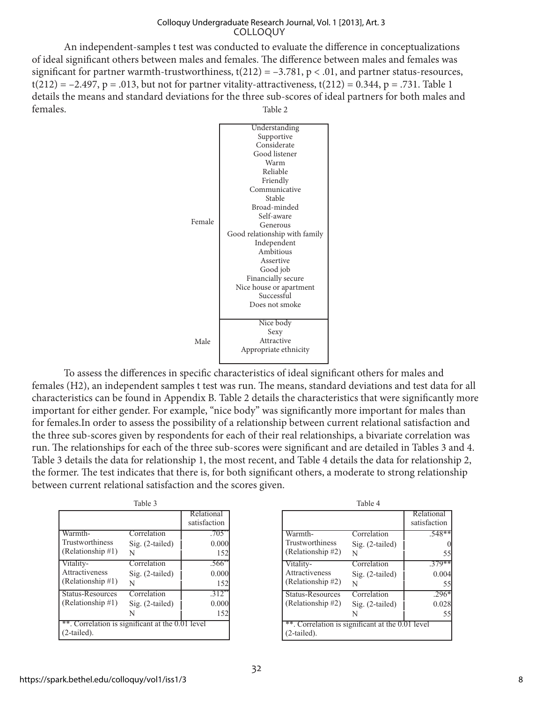An independent-samples t test was conducted to evaluate the difference in conceptualizations of ideal significant others between males and females. The difference between males and females was significant for partner warmth-trustworthiness,  $t(212) = -3.781$ ,  $p < .01$ , and partner status-resources,  $t(212) = -2.497$ , p = .013, but not for partner vitality-attractiveness,  $t(212) = 0.344$ , p = .731. Table 1 details the means and standard deviations for the three sub-scores of ideal partners for both males and females. Table 2



To assess the differences in specific characteristics of ideal significant others for males and females (H2), an independent samples t test was run. The means, standard deviations and test data for all characteristics can be found in Appendix B. Table 2 details the characteristics that were significantly more important for either gender. For example, "nice body" was significantly more important for males than for females.In order to assess the possibility of a relationship between current relational satisfaction and the three sub-scores given by respondents for each of their real relationships, a bivariate correlation was run. The relationships for each of the three sub-scores were significant and are detailed in Tables 3 and 4. Table 3 details the data for relationship 1, the most recent, and Table 4 details the data for relationship 2, the former. The test indicates that there is, for both significant others, a moderate to strong relationship between current relational satisfaction and the scores given.

| Table 3                                                        |                   |                            |  |  |  |
|----------------------------------------------------------------|-------------------|----------------------------|--|--|--|
|                                                                |                   | Relational<br>satisfaction |  |  |  |
| Warmth-                                                        | Correlation       | $.705*$                    |  |  |  |
| Trustworthiness                                                | Sig. (2-tailed)   | 0.000                      |  |  |  |
| (Relationship #1)                                              | N                 | 152                        |  |  |  |
| Vitality-                                                      | Correlation       | .566*                      |  |  |  |
| Attractiveness                                                 | $Sig. (2-tailed)$ | 0.000                      |  |  |  |
| (Relationship #1)                                              | N                 | 152                        |  |  |  |
| Status-Resources                                               | Correlation       | 312                        |  |  |  |
| (Relationship #1)                                              | Sig. (2-tailed)   | 0.000                      |  |  |  |
|                                                                | N                 | 152                        |  |  |  |
| **. Correlation is significant at the 0.01 level<br>2-tailed). |                   |                            |  |  |  |

| Table 4                                                       |                   |                            |  |  |  |
|---------------------------------------------------------------|-------------------|----------------------------|--|--|--|
|                                                               |                   | Relational<br>satisfaction |  |  |  |
| Warmth-                                                       | Correlation       | $.548**$                   |  |  |  |
| Trustworthiness                                               | $Sig. (2-tailed)$ |                            |  |  |  |
| (Relationship #2)                                             | N                 | 55                         |  |  |  |
| Vitality-                                                     | Correlation       | $.379**$                   |  |  |  |
| Attractiveness<br>(Relationship #2)                           | $Sig. (2-tailed)$ | 0.004                      |  |  |  |
|                                                               | N                 | 55                         |  |  |  |
| <b>Status-Resources</b>                                       | Correlation       | .296*                      |  |  |  |
| (Relationship #2)                                             | Sig. (2-tailed)   | 0.028                      |  |  |  |
|                                                               | N                 | 55                         |  |  |  |
| *. Correlation is significant at the 0.01 level<br>2-tailed). |                   |                            |  |  |  |
|                                                               |                   |                            |  |  |  |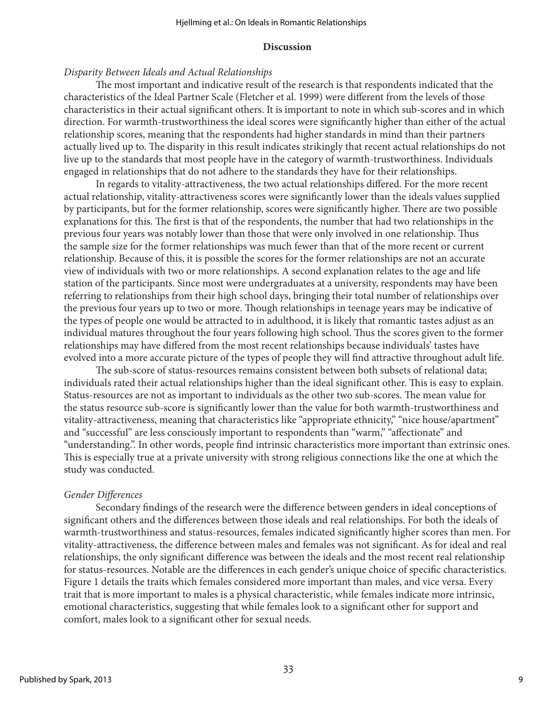#### **Discussion**

#### *Disparity Between Ideals and Actual Relationships*

The most important and indicative result of the research is that respondents indicated that the characteristics of the Ideal Partner Scale (Fletcher et al. 1999) were different from the levels of those characteristics in their actual significant others. It is important to note in which sub-scores and in which direction. For warmth-trustworthiness the ideal scores were significantly higher than either of the actual relationship scores, meaning that the respondents had higher standards in mind than their partners actually lived up to. The disparity in this result indicates strikingly that recent actual relationships do not live up to the standards that most people have in the category of warmth-trustworthiness. Individuals engaged in relationships that do not adhere to the standards they have for their relationships.

In regards to vitality-attractiveness, the two actual relationships differed. For the more recent actual relationship, vitality-attractiveness scores were significantly lower than the ideals values supplied by participants, but for the former relationship, scores were significantly higher. There are two possible explanations for this. The first is that of the respondents, the number that had two relationships in the previous four years was notably lower than those that were only involved in one relationship. Thus the sample size for the former relationships was much fewer than that of the more recent or current relationship. Because of this, it is possible the scores for the former relationships are not an accurate view of individuals with two or more relationships. A second explanation relates to the age and life station of the participants. Since most were undergraduates at a university, respondents may have been referring to relationships from their high school days, bringing their total number of relationships over the previous four years up to two or more. Though relationships in teenage years may be indicative of the types of people one would be attracted to in adulthood, it is likely that romantic tastes adjust as an individual matures throughout the four years following high school. Thus the scores given to the former relationships may have differed from the most recent relationships because individuals' tastes have evolved into a more accurate picture of the types of people they will find attractive throughout adult life.

The sub-score of status-resources remains consistent between both subsets of relational data; individuals rated their actual relationships higher than the ideal significant other. This is easy to explain. Status-resources are not as important to individuals as the other two sub-scores. The mean value for the status resource sub-score is significantly lower than the value for both warmth-trustworthiness and vitality-attractiveness, meaning that characteristics like "appropriate ethnicity," "nice house/apartment" and "successful" are less consciously important to respondents than "warm," "affectionate" and "understanding.". In other words, people find intrinsic characteristics more important than extrinsic ones. This is especially true at a private university with strong religious connections like the one at which the study was conducted.

### *Gender Differences*

Secondary findings of the research were the difference between genders in ideal conceptions of significant others and the differences between those ideals and real relationships. For both the ideals of warmth-trustworthiness and status-resources, females indicated significantly higher scores than men. For vitality-attractiveness, the difference between males and females was not significant. As for ideal and real relationships, the only significant difference was between the ideals and the most recent real relationship for status-resources. Notable are the differences in each gender's unique choice of specific characteristics. Figure 1 details the traits which females considered more important than males, and vice versa. Every trait that is more important to males is a physical characteristic, while females indicate more intrinsic, emotional characteristics, suggesting that while females look to a significant other for support and comfort, males look to a significant other for sexual needs.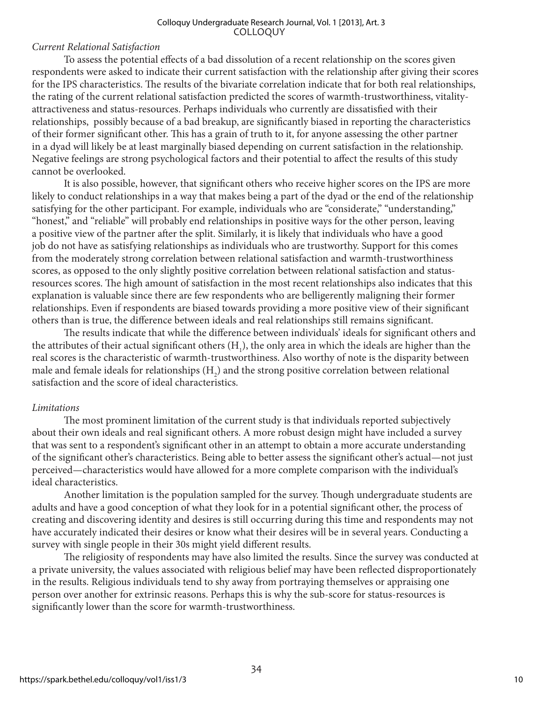#### *Current Relational Satisfaction*

To assess the potential effects of a bad dissolution of a recent relationship on the scores given respondents were asked to indicate their current satisfaction with the relationship after giving their scores for the IPS characteristics. The results of the bivariate correlation indicate that for both real relationships, the rating of the current relational satisfaction predicted the scores of warmth-trustworthiness, vitalityattractiveness and status-resources. Perhaps individuals who currently are dissatisfied with their relationships, possibly because of a bad breakup, are significantly biased in reporting the characteristics of their former significant other. This has a grain of truth to it, for anyone assessing the other partner in a dyad will likely be at least marginally biased depending on current satisfaction in the relationship. Negative feelings are strong psychological factors and their potential to affect the results of this study cannot be overlooked.

It is also possible, however, that significant others who receive higher scores on the IPS are more likely to conduct relationships in a way that makes being a part of the dyad or the end of the relationship satisfying for the other participant. For example, individuals who are "considerate," "understanding," "honest," and "reliable" will probably end relationships in positive ways for the other person, leaving a positive view of the partner after the split. Similarly, it is likely that individuals who have a good job do not have as satisfying relationships as individuals who are trustworthy. Support for this comes from the moderately strong correlation between relational satisfaction and warmth-trustworthiness scores, as opposed to the only slightly positive correlation between relational satisfaction and statusresources scores. The high amount of satisfaction in the most recent relationships also indicates that this explanation is valuable since there are few respondents who are belligerently maligning their former relationships. Even if respondents are biased towards providing a more positive view of their significant others than is true, the difference between ideals and real relationships still remains significant.

The results indicate that while the difference between individuals' ideals for significant others and the attributes of their actual significant others  $(H_1)$ , the only area in which the ideals are higher than the real scores is the characteristic of warmth-trustworthiness. Also worthy of note is the disparity between male and female ideals for relationships  $(H_2)$  and the strong positive correlation between relational satisfaction and the score of ideal characteristics.

### *Limitations*

The most prominent limitation of the current study is that individuals reported subjectively about their own ideals and real significant others. A more robust design might have included a survey that was sent to a respondent's significant other in an attempt to obtain a more accurate understanding of the significant other's characteristics. Being able to better assess the significant other's actual—not just perceived—characteristics would have allowed for a more complete comparison with the individual's ideal characteristics.

Another limitation is the population sampled for the survey. Though undergraduate students are adults and have a good conception of what they look for in a potential significant other, the process of creating and discovering identity and desires is still occurring during this time and respondents may not have accurately indicated their desires or know what their desires will be in several years. Conducting a survey with single people in their 30s might yield different results.

The religiosity of respondents may have also limited the results. Since the survey was conducted at a private university, the values associated with religious belief may have been reflected disproportionately in the results. Religious individuals tend to shy away from portraying themselves or appraising one person over another for extrinsic reasons. Perhaps this is why the sub-score for status-resources is significantly lower than the score for warmth-trustworthiness.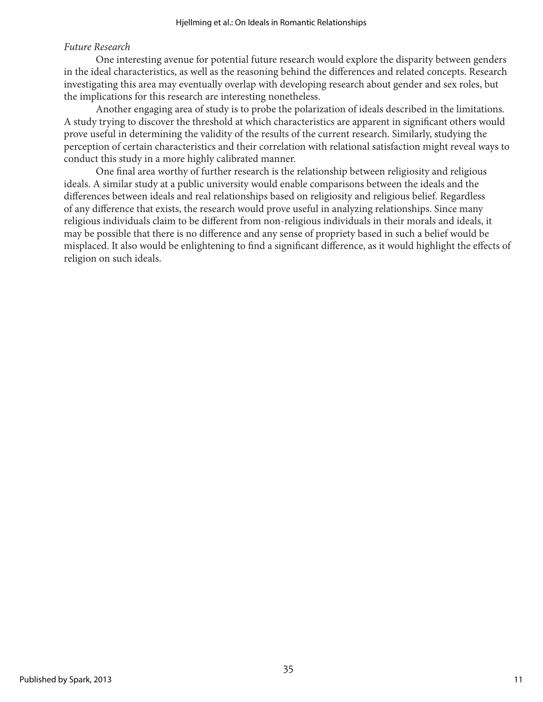### *Future Research*

One interesting avenue for potential future research would explore the disparity between genders in the ideal characteristics, as well as the reasoning behind the differences and related concepts. Research investigating this area may eventually overlap with developing research about gender and sex roles, but the implications for this research are interesting nonetheless.

Another engaging area of study is to probe the polarization of ideals described in the limitations. A study trying to discover the threshold at which characteristics are apparent in significant others would prove useful in determining the validity of the results of the current research. Similarly, studying the perception of certain characteristics and their correlation with relational satisfaction might reveal ways to conduct this study in a more highly calibrated manner.

One final area worthy of further research is the relationship between religiosity and religious ideals. A similar study at a public university would enable comparisons between the ideals and the differences between ideals and real relationships based on religiosity and religious belief. Regardless of any difference that exists, the research would prove useful in analyzing relationships. Since many religious individuals claim to be different from non-religious individuals in their morals and ideals, it may be possible that there is no difference and any sense of propriety based in such a belief would be misplaced. It also would be enlightening to find a significant difference, as it would highlight the effects of religion on such ideals.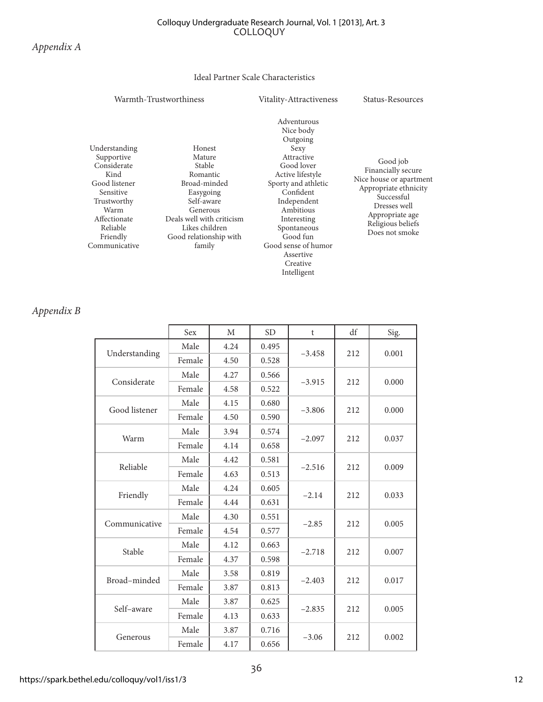#### Ideal Partner Scale Characteristics

#### Warmth-Trustworthiness Vitality-Attractiveness Status-Resources

Understanding Supportive **Considerate** Kind Good listener Sensitive Trustworthy Warm Affectionate Reliable Friendly Communicative

Honest Mature Stable Romantic Broad-minded Easygoing Self-aware Generous Deals well with criticism Likes children Good relationship with family

Adventurous Nice body Outgoing Sexy Attractive Good lover Active lifestyle Sporty and athletic Confident Independent Ambitious Interesting Spontaneous Good fun Good sense of humor Assertive Creative Intelligent

Good job Financially secure Nice house or apartment Appropriate ethnicity Successful Dresses well Appropriate age Religious beliefs Does not smoke

#### *Appendix B*

|               | Sex    | M    | <b>SD</b> | t              | df    | Sig.  |
|---------------|--------|------|-----------|----------------|-------|-------|
| Understanding | Male   | 4.24 | 0.495     | $-3.458$       | 212   | 0.001 |
|               | Female | 4.50 | 0.528     |                |       |       |
|               | Male   | 4.27 | 0.566     |                | 212   | 0.000 |
| Considerate   | Female | 4.58 | 0.522     | $-3.915$       |       |       |
| Good listener | Male   | 4.15 | 0.680     | $-3.806$       |       | 0.000 |
|               | Female | 4.50 | 0.590     |                | 212   |       |
| Warm          | Male   | 3.94 | 0.574     | $-2.097$       | 212   | 0.037 |
|               | Female | 4.14 | 0.658     |                |       |       |
| Reliable      | Male   | 4.42 | 0.581     | $-2.516$       | 212   | 0.009 |
|               | Female | 4.63 | 0.513     |                |       |       |
| Friendly      | Male   | 4.24 | 0.605     | $-2.14$        | 212   | 0.033 |
|               | Female | 4.44 | 0.631     |                |       |       |
| Communicative | Male   | 4.30 | 0.551     | $-2.85$        | 212   | 0.005 |
|               | Female | 4.54 | 0.577     |                |       |       |
| Stable        | Male   | 4.12 | 0.663     | $-2.718$       | 212   | 0.007 |
|               | Female | 4.37 | 0.598     |                |       |       |
| Broad-minded  | Male   | 3.58 | 0.819     | $-2.403$       | 212   | 0.017 |
|               | Female | 3.87 | 0.813     |                |       |       |
| Self-aware    | Male   | 3.87 | 0.625     | $-2.835$       | 212   | 0.005 |
|               | Female | 4.13 | 0.633     |                |       |       |
| Generous      | Male   | 3.87 | 0.716     | $-3.06$<br>212 |       |       |
|               | Female | 4.17 | 0.656     |                | 0.002 |       |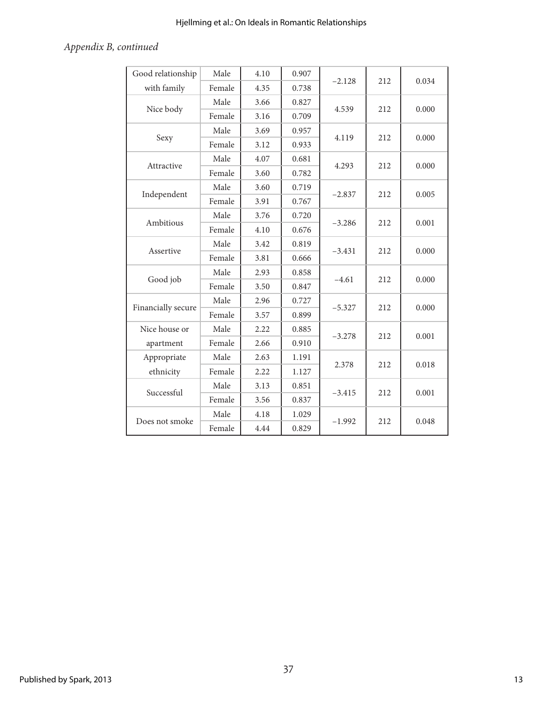## Hjellming et al.: On Ideals in Romantic Relationships

## *Appendix B, continued*

| Good relationship  | Male   | 4.10 | 0.907 | $-2.128$        | 212 | 0.034 |
|--------------------|--------|------|-------|-----------------|-----|-------|
| with family        | Female | 4.35 | 0.738 |                 |     |       |
| Nice body          | Male   | 3.66 | 0.827 | 4.539           | 212 | 0.000 |
|                    | Female | 3.16 | 0.709 |                 |     |       |
| Sexy               | Male   | 3.69 | 0.957 | 4.119           | 212 | 0.000 |
|                    | Female | 3.12 | 0.933 |                 |     |       |
| Attractive         | Male   | 4.07 | 0.681 | 4.293           | 212 | 0.000 |
|                    | Female | 3.60 | 0.782 |                 |     |       |
| Independent        | Male   | 3.60 | 0.719 | $-2.837$        | 212 | 0.005 |
|                    | Female | 3.91 | 0.767 |                 |     |       |
|                    | Male   | 3.76 | 0.720 |                 |     | 0.001 |
| Ambitious          | Female | 4.10 | 0.676 | $-3.286$        | 212 |       |
| Assertive          | Male   | 3.42 | 0.819 | $-3.431$        | 212 | 0.000 |
|                    | Female | 3.81 | 0.666 |                 |     |       |
| Good job           | Male   | 2.93 | 0.858 | $-4.61$         | 212 | 0.000 |
|                    | Female | 3.50 | 0.847 |                 |     |       |
| Financially secure | Male   | 2.96 | 0.727 | $-5.327$        | 212 | 0.000 |
|                    | Female | 3.57 | 0.899 |                 |     |       |
| Nice house or      | Male   | 2.22 | 0.885 | $-3.278$        | 212 | 0.001 |
| apartment          | Female | 2.66 | 0.910 |                 |     |       |
| Appropriate        | Male   | 2.63 | 1.191 | 2.378           | 212 | 0.018 |
| ethnicity          | Female | 2.22 | 1.127 |                 |     |       |
| Successful         | Male   | 3.13 | 0.851 | $-3.415$        | 212 | 0.001 |
|                    | Female | 3.56 | 0.837 |                 |     |       |
| Does not smoke     | Male   | 4.18 | 1.029 | 212<br>$-1.992$ |     | 0.048 |
|                    | Female | 4.44 | 0.829 |                 |     |       |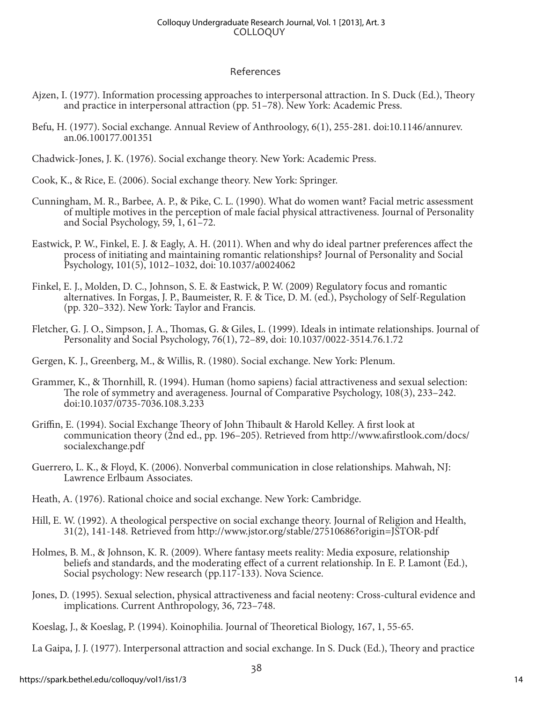#### References

- Ajzen, I. (1977). Information processing approaches to interpersonal attraction. In S. Duck (Ed.), Theory and practice in interpersonal attraction (pp. 51–78). New York: Academic Press.
- Befu, H. (1977). Social exchange. Annual Review of Anthroology, 6(1), 255-281. doi:10.1146/annurev. an.06.100177.001351
- Chadwick-Jones, J. K. (1976). Social exchange theory. New York: Academic Press.
- Cook, K., & Rice, E. (2006). Social exchange theory. New York: Springer.
- Cunningham, M. R., Barbee, A. P., & Pike, C. L. (1990). What do women want? Facial metric assessment of multiple motives in the perception of male facial physical attractiveness. Journal of Personality and Social Psychology, 59, 1, 61–72.
- Eastwick, P. W., Finkel, E. J. & Eagly, A. H. (2011). When and why do ideal partner preferences affect the process of initiating and maintaining romantic relationships? Journal of Personality and Social Psychology, 101(5), 1012–1032, doi: 10.1037/a0024062
- Finkel, E. J., Molden, D. C., Johnson, S. E. & Eastwick, P. W. (2009) Regulatory focus and romantic alternatives. In Forgas, J. P., Baumeister, R. F. & Tice, D. M. (ed.), Psychology of Self-Regulation (pp. 320–332). New York: Taylor and Francis.
- Fletcher, G. J. O., Simpson, J. A., Thomas, G. & Giles, L. (1999). Ideals in intimate relationships. Journal of Personality and Social Psychology, 76(1), 72–89, doi: 10.1037/0022-3514.76.1.72
- Gergen, K. J., Greenberg, M., & Willis, R. (1980). Social exchange. New York: Plenum.
- Grammer, K., & Thornhill, R. (1994). Human (homo sapiens) facial attractiveness and sexual selection: The role of symmetry and averageness. Journal of Comparative Psychology, 108(3), 233–242. doi:10.1037/0735-7036.108.3.233
- Griffin, E. (1994). Social Exchange Theory of John Thibault & Harold Kelley. A first look at communication theory (2nd ed., pp. 196–205). Retrieved from http://www.afirstlook.com/docs/ socialexchange.pdf
- Guerrero, L. K., & Floyd, K. (2006). Nonverbal communication in close relationships. Mahwah, NJ: Lawrence Erlbaum Associates.
- Heath, A. (1976). Rational choice and social exchange. New York: Cambridge.
- Hill, E. W. (1992). A theological perspective on social exchange theory. Journal of Religion and Health, 31(2), 141-148. Retrieved from http://www.jstor.org/stable/27510686?origin=JSTOR-pdf
- Holmes, B. M., & Johnson, K. R. (2009). Where fantasy meets reality: Media exposure, relationship beliefs and standards, and the moderating effect of a current relationship. In E. P. Lamont (Ed.), Social psychology: New research (pp.117-133). Nova Science.
- Jones, D. (1995). Sexual selection, physical attractiveness and facial neoteny: Cross-cultural evidence and implications. Current Anthropology, 36, 723–748.
- Koeslag, J., & Koeslag, P. (1994). Koinophilia. Journal of Theoretical Biology, 167, 1, 55-65.

La Gaipa, J. J. (1977). Interpersonal attraction and social exchange. In S. Duck (Ed.), Theory and practice